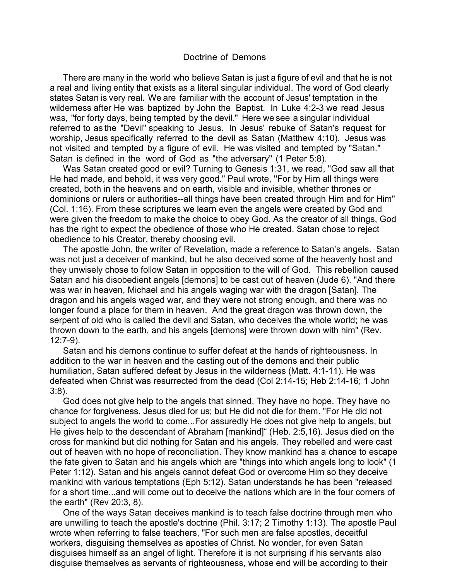## Doctrine of Demons

There are many in the world who believe Satan is just a figure of evil and that he is not a real and living entity that exists as a literal singular individual. The word of God clearly states Satan is very real. We are familiar with the account of Jesus' temptation in the wilderness after He was baptized by John the Baptist. In Luke 4:2-3 we read Jesus was, "for forty days, being tempted by the devil." Here we see a singular individual referred to as the "Devil" speaking to Jesus. In Jesus' rebuke of Satan's request for worship, Jesus specifically referred to the devil as Satan (Matthew 4:10). Jesus was not visited and tempted by a figure of evil. He was visited and tempted by "Satan." Satan is defined in the word of God as "the adversary" (1 Peter 5:8).

. were given the freedom to make the choice to obey God. As the creator of all things, God Was Satan created good or evil? Turning to Genesis 1:31, we read, "God saw all that He had made, and behold, it was very good." Paul wrote, ''For by Him all things were created, both in the heavens and on earth, visible and invisible, whether thrones or dominions or rulers or authorities--all things have been created through Him and for Him" (Col. 1:16). From these scriptures we learn even the angels were created by God and has the right to expect the obedience of those who He created. Satan chose to reject obedience to his Creator, thereby choosing evil.

The apostle John, the writer of Revelation, made a reference to Satan's angels. Satan was not just a deceiver of mankind, but he also deceived some of the heavenly host and they unwisely chose to follow Satan in opposition to the will of God. This rebellion caused Satan and his disobedient angels [demons] to be cast out of heaven (Jude 6). "And there was war in heaven, Michael and his angels waging war with the dragon [Satan]. The dragon and his angels waged war, and they were not strong enough, and there was no longer found a place for them in heaven. And the great dragon was thrown down, the serpent of old who is called the devil and Satan, who deceives the whole world; he was thrown down to the earth, and his angels [demons] were thrown down with him" (Rev. 12:7-9).

Satan and his demons continue to suffer defeat at the hands of righteousness. In addition to the war in heaven and the casting out of the demons and their public humiliation, Satan suffered defeat by Jesus in the wilderness (Matt. 4:1-11). He was defeated when Christ was resurrected from the dead (Col 2:14-15; Heb 2:14-16; 1 John 3:8).

God does not give help to the angels that sinned. They have no hope. They have no chance for forgiveness. Jesus died for us; but He did not die for them. "For He did not subject to angels the world to come...For assuredly He does not give help to angels, but He gives help to the descendant of Abraham [mankind]" (Heb. 2:5,16). Jesus died on the cross for mankind but did nothing for Satan and his angels. They rebelled and were cast out of heaven with no hope of reconciliation. They know mankind has a chance to escape the fate given to Satan and his angels which are "things into which angels long to look" (1 Peter 1:12). Satan and his angels cannot defeat God or overcome Him so they deceive mankind with various temptations (Eph 5:12). Satan understands he has been "released for a short time...and will come out to deceive the nations which are in the four corners of the earth" (Rev 20:3, 8).

One of the ways Satan deceives mankind is to teach false doctrine through men who are unwilling to teach the apostle's doctrine (Phil. 3:17; 2 Timothy 1:13). The apostle Paul wrote when referring to false teachers, "For such men are false apostles, deceitful workers, disguising themselves as apostles of Christ. No wonder, for even Satan disguises himself as an angel of light. Therefore it is not surprising if his servants also disguise themselves as servants of righteousness, whose end will be according to their